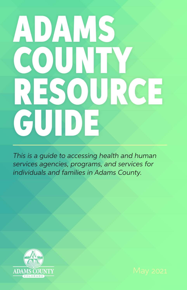# ADAMS COUNTY RESOURCE GUIDE

*This is a guide to accessing health and human services agencies, programs, and services for individuals and families in Adams County.*



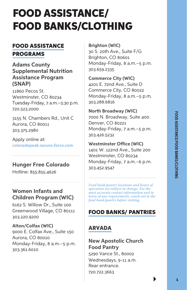## FOOD ASSISTANCE/ FOOD BANKS/CLOTHING

#### FOOD ASSISTANCE

PROGRAMS

**Adams County Supplemental Nutrition Assistance Program (SNAP)**

11860 Pecos St. Westminster, CO 80234 Tuesday-Friday, 7 a.m.–5:30 p.m. 720.523.2000

3155 N. Chambers Rd., Unit C Aurora, CO 80011 303.375.2980

Apply online at: **[coloradopeak.secure.force.com](http://coloradopeak.secure.force.com)**

#### **Hunger Free Colorado**

Hotline: 855.855.4626

#### **Women Infants and Children Program (WIC)**

6162 S. Willow Dr., Suite 100 Greenwood Village, CO 80111 303.220.9200

#### **Alton/Colfax (WIC)** 9000 E. Colfax Ave., Suite 150 Aurora, CO 80010 Monday-Friday, 8 a.m.–5 p.m. 303.361.6010

**Brighton (WIC)**

30 S. 20th Ave., Suite F/G Brighton, CO 80601 Monday-Friday, 8 a.m.–5 p.m. 303.659.2335

**Commerce City (WIC)** 4201 E. 72nd Ave., Suite D Commerce City, CO 80022 Monday-Friday, 8 a.m.–5 p.m. 303.288.6816

**North Broadway (WIC)** 7000 N. Broadway, Suite 400 Denver, CO 80221 Monday-Friday, 7 a.m.–5 p.m. 303.426.5232

**Westminster Office (WIC)**  1401 W. 122nd Ave., Suite 200 Westminster, CO 80234 Monday-Friday, 7 a.m.–6 p.m. 303.452.9547

*Food bank/pantry locations and hours of operation are subject to change. For the most accurate contact information and to learn of any requirements, reach out to the food bank/pantry before visiting.*

#### FOOD BANKS/ PANTRIES

#### ARVADA

**New Apostolic Church Food Pantry** 5290 Vance St., 80002 Wednesdays, 9-11 a.m. Rear entrance. 720.722.3663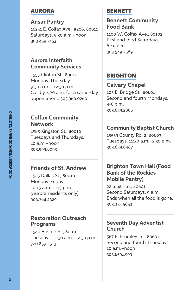#### AURORA

**Ansar Pantry** 16251 E. Colfax Ave., #208, 80011 Saturdays, 9:30 a.m.–noon 303.459.2153

#### **Aurora Interfaith Community Services**

1553 Clinton St., 80010 Monday-Thursday 9:30 a.m. - 12:30 p.m. Call by 8:30 a.m. for a same-day appointment: 303.360.0260

#### **Colfax Community Network**

1585 Kingston St., 80010 Tuesdays and Thursdays, 10 a.m.–noon. 303.999.6093

#### **Friends of St. Andrew**

1525 Dallas St., 80010 Monday-Friday, 10:15 a.m.–1:15 p.m. (Aurora residents only) 303.364.2329

#### **Restoration Outreach Programs**

1540 Boston St., 80010 Tuesdays, 11:30 a.m.–12:30 p.m. 720.859.2513

#### **BENNETT**

#### **Bennett Community Food Bank**

1100 W. Colfax Ave., 80102 First and third Saturdays, 8-10 a.m. 303.549.2589

#### **BRIGHTON**

#### **Calvary Chapel** 103 E. Bridge St., 80601 Second and fourth Mondays, 4-6 p.m. 303.659.2886

#### **Community Baptist Church**

15559 County Rd. 2, 80603 Tuesdays, 11:30 a.m.–2:30 p.m. 303.659.6487

#### **Brighton Town Hall (Food Bank of the Rockies Mobile Pantry)**

22 S. 4th St., 80601 Second Saturdays, 9 a.m. Ends when all the food is gone. 303.375.5853

#### **Seventh Day Adventist Church**

567 E. Bromley Ln., 80601 Second and fourth Thursdays, 10 a.m.–noon 303.659.1999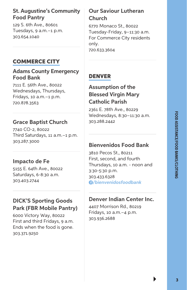#### **St. Augustine's Community Food Pantry**

129 S. 6th Ave., 80601 Tuesdays, 9 a.m.–1 p.m. 303.654.1040

#### COMMERCE CITY

#### **Adams County Emergency Food Bank**

7111 E. 56th Ave., 80022 Wednesdays, Thursdays, Fridays, 10 a.m.–1 p.m. 720.878.3563

#### **Grace Baptist Church**

7740 CO-2, 80022 Third Saturdays, 11 a.m.–1 p.m. 303.287.3000

#### **Impacto de Fe**

5155 E. 64th Ave., 80022 Saturdays, 6-8:30 a.m. 303.403.2744

#### **DICK'S Sporting Goods Park (FBR Mobile Pantry)**

6000 Victory Way, 80022 First and third Fridays, 9 a.m. Ends when the food is gone. 303.371.9250

#### **Our Saviour Lutheran Church**

6770 Monaco St., 80022 Tuesday-Friday, 9–11:30 a.m. For Commerce City residents only.

720.633.3604

#### DENVER

#### **Assumption of the Blessed Virgin Mary Catholic Parish**

2361 E. 78th Ave., 80229 Wednesdays, 8:30–11:30 a.m. 303.288.2442

#### **Bienvenidos Food Bank**

3810 Pecos St., 80211 First, second, and fourth Thursdays, 10 a.m. - noon and 3:30-5:30 p.m. 303.433.6328 *[/bienvenidosfoodbank](http://www.facebook.com/bienvenidosfoodbank)*

#### **Denver Indian Center Inc.**

4407 Morrison Rd., 80219 Fridays, 10 a.m.–4 p.m. 303.936.2688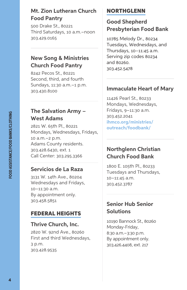#### **Mt. Zion Lutheran Church Food Pantry**

500 Drake St., 80221 Third Saturdays, 10 a.m.–noon 303.429.0165

#### **New Song & Ministries Church Food Pantry**

8242 Pecos St., 80221 Second, third, and fourth Sundays, 11:30 a.m.–1 p.m. 303.430.8100

#### **The Salvation Army – West Adams**

2821 W. 65th Pl., 80221 Mondays, Wednesdays, Fridays, 10 a.m.–2 p.m. Adams County residents. 303.428.6430, ext. 1 Call Center: 303.295.3366

#### **Servicios de La Raza**

3131 W. 14th Ave., 80204 Wednesdays and Fridays, 10–11:30 a.m. By appointment only. 303.458.5851

#### FEDERAL HEIGHTS

#### **Thrive Church, Inc.**

2820 W. 92nd Ave., 80260 First and third Wednesdays, 3 p.m. 303.428.9535

#### NORTHGLENN

#### **Good Shepherd Presbyterian Food Bank**

10785 Melody Dr., 80234 Tuesdays, Wednesdays, and Thursdays, 10–11:45 a.m. Serving zip codes 80234 and 80260. 303.452.5478

#### **Immaculate Heart of Mary**

11426 Pearl St., 80233 Mondays, Wednesdays, Fridays, 9–11:30 a.m. 303.452.2041 **[ihmco.org/ministries/](https://ihmco.org/ministries/outreach/foodbank/) [outreach/foodbank/](https://ihmco.org/ministries/outreach/foodbank/)**

#### **Northglenn Christian Church Food Bank**

1800 E. 105th Pl., 80233 Tuesdays and Thursdays, 10–11:45 a.m. 303.452.3787

#### **Senior Hub Senior Solutions**

10190 Bannock St., 80260 Monday-Friday, 8:30 a.m.–3:30 p.m. By appointment only. 303.426.4408, ext. 217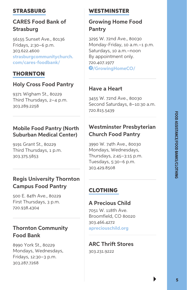#### **STRASBURG**

#### **CARES Food Bank of Strasburg**

56155 Sunset Ave., 80136 Fridays, 2:30–6 p.m. 303.622.4600 **[strasburgcommunitychurch.](http://strasburgcommunitychurch.com/cares-foodbank/) [com/cares-foodbank/](http://strasburgcommunitychurch.com/cares-foodbank/)**

#### THORNTON

#### **Holy Cross Food Pantry**

9371 Wigham St., 80229 Third Thursdays, 2–4 p.m. 303.289.2258

#### **Mobile Food Pantry (North Suburban Medical Center)**

9191 Grant St., 80229 Third Thursdays, 1 p.m. 303.375.5853

#### **Regis University Thornton Campus Food Pantry**

500 E. 84th Ave., 80229 First Thursdays, 3 p.m. 720.938.4304

#### **Thornton Community Food Bank**

8990 York St., 80229 Mondays, Wednesdays, Fridays, 12:30–3 p.m. 303.287.7268

#### WESTMINSTER

#### **Growing Home Food Pantry**

3295 W. 72nd Ave., 80030 Monday-Friday, 10 a.m.–1 p.m. Saturdays, 10 a.m.–noon By appointment only. 720.407.1977 **[/GrowingHomeCO/](http://facebook.com/growinghomeco/)**

#### **Have a Heart**

3455 W. 72nd Ave., 80030 Second Saturdays, 8–10:30 a.m. 720.815.5439

#### **Westminster Presbyterian Church Food Pantry**

3990 W. 74th Ave., 80030 Mondays, Wednesdays, Thursdays, 2:45–3:15 p.m. Tuesdays, 5:30–6 p.m. 303.429.8508

#### CLOTHING

#### **A Precious Child**

7051 W. 118th Ave. Broomfield, CO 80020 303.466.4272 **[apreciouschild.org](http://apreciouschild.org/)**

#### **ARC Thrift Stores**

303.231.9222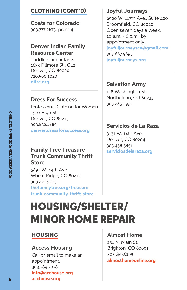#### CLOTHING (CONT'D)

**Coats for Colorado** 303.777.2673, press 4

#### **[Denver Indian Family](https://difrc.org/) [Resource Center](https://difrc.org/)**

Toddlers and infants 1633 Fillmore St., GL2 Denver, CO 80020 720.500.1020 **[difrc.org](http://difrc.org)**

#### **[Dress For Success](https://denver.dressforsuccess.org/)**

Professional Clothing for Women 1510 High St. Denver, CO 80213 303.832.1889 **[denver.dressforsuccess.org](http://denver.dressforsuccess.org)**

#### **Family Tree Treasure Trunk Community Thrift Store**

5892 W. 44th Ave. Wheat Ridge, CO 80212 303.421.9205 **[thefamilytree.org/treasure](https://www.thefamilytree.org/treasure-trunk-community-thrift-store)[trunk-community-thrift-store](https://www.thefamilytree.org/treasure-trunk-community-thrift-store)**

## HOUSING/SHELTER/ MINOR HOME REPAIR

#### HOUSING

#### **[Access Housing](https://www.acchouse.org/)**

Call or email to make an appointment. 303.289.7078 **info@acchouse.org [acchouse.org](http://acchouse.org)**

#### **[Joyful Journeys](https://www.joyfuljourneys.org/)**

6900 W. 117th Ave., Suite 400 Broomfield, CO 80020 Open seven days a week, 10 a.m. - 6 p.m., by appointment only. **[joyfuljourneysce@gmail.com](mailto:joyfuljourneysce%40gmail.com?subject=)** 303.667.9695 **[joyfuljourneys.org](http://joyfuljourneys.org)**

#### **Salvation Army**

118 Washington St. Northglenn, CO 80233 303.285.2992

#### **[Servicios de La Raza](https://serviciosdelaraza.org/services-2/)**

3131 W. 14th Ave. Denver, CO 80204 303.458.5851 **[serviciosdelaraza.org](http://serviciosdelaraza.org/services-2/)**

#### **[Almost Home](https://www.almosthomeonline.org/)**

231 N. Main St. Brighton, CO 80601 303.659.6199 **[almosthomeonline.org](https://www.almosthomeonline.org/)**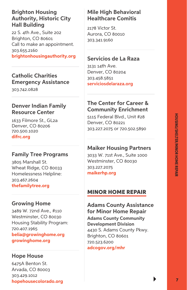#### **[Brighton Housing](http://www.brightonhousingauthority.org/) [Authority, Historic City](http://www.brightonhousingauthority.org/)  [Hall Building](http://www.brightonhousingauthority.org/)**

22 S. 4th Ave., Suite 202 Brighton, CO 80601 Call to make an appointment. 303.655.2160 **[brightonhousingauthority.org](http://www.brightonhousingauthority.org/)**

#### **[Catholic Charities](https://ccdenver.org/emergency-assistance-denver/denver/) [Emergency Assistance](https://ccdenver.org/emergency-assistance-denver/denver/)**

303.742.0828

#### **[Denver Indian Family](https://difrc.org/) [Resource Center](https://difrc.org/)**

1633 Filmore St., GL2a Denver, CO 80206 720.500.1020 **[difrc.org](https://difrc.org)**

#### **[Family Tree Programs](https://www.thefamilytree.org/contact-family-tree)**

3805 Marshall St. Wheat Ridge, CO 80033 Homelessness Helpline: 303.467.2604 **[thefamilytree.org](https://www.thefamilytree.org/contact-family-tree)**

#### **[Growing Home](https://growinghome.org/)**

3489 W. 72nd Ave., #110 Westminster, CO 80030 Housing Stability Program: 720.407.1965 **[belia@growinghome.org](mailto:belia%40groninghome.org?subject=) [growinghome.org](https://growinghome.org)**

#### **[Hope House](https://www.hopehousecolorado.org/)**

6475A Benton St. Arvada, CO 80003 303.429.1012 **[hopehousecolorado.org](https://www.hopehousecolorado.org/)**

#### **Mile High Behavioral Healthcare Comitis**

2178 Victor St. Aurora, CO 80010 303.341.9160

#### **[Servicios de La Raza](https://serviciosdelaraza.org/services-2/)**

3131 14th Ave. Denver, CO 80204 303.458.5851 **[serviciosdelaraza.org](https://serviciosdelaraza.org/services-2/)**

#### **The Center for Career & Community Enrichment**

5115 Federal Blvd., Unit #28 Denver, CO 80221 303.227.2075 or 720.502.5890

#### **[Maiker Housing Partners](https://maikerhp.org/)**

3033 W. 71st Ave., Suite 1000 Westminster, CO 80030 303.227.2075 **[maikerhp.org](https://maikerhp.org)**

#### MINOR HOME REPAIR

#### **Adams County Assistance for Minor Home Repair**

**Adams County Community Development Division** 4430 S. Adams County Pkwy. Brighton, CO 80601 720.523.6200 **[adcogov.org/mhr](http://www.adcogov.org/minor-home-repair-mhr-program)**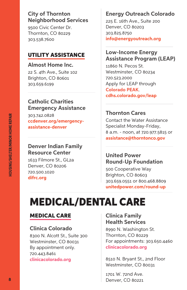#### **City of Thornton Neighborhood Services**

9500 Civic Center Dr. Thornton, CO 80229 303.538.7600

#### UTILITY ASSISTANCE

**Almost Home Inc.** 22 S. 4th Ave., Suite 102 Brighton, CO 80601 303.659.6199

#### **[Catholic Charities](https://ccdenver.org/emergency-assistance-denver/denver/)  [Emergency Assistance](https://ccdenver.org/emergency-assistance-denver/denver/)**

303.742.0828 **[ccdenver.org/emergency](https://ccdenver.org/emergency-assistance-denver/denver/)[assistance-denver](https://ccdenver.org/emergency-assistance-denver/denver/)**

#### **Denver Indian Family Resource Center**

1633 Filmore St., GL2a Denver, CO 80206 720.500.1020 **[difrc.org](https://difrc.org/)**

#### **Energy Outreach Colorado**

225 E. 16th Ave., Suite 200 Denver, CO 80203 303.825.8750 **[info@energyoutreach.org](mailto:info%40energyoutreach.org?subject=)**

#### **Low-Income Energy Assistance Program (LEAP)**

11860 N. Pecos St. Westminster, CO 80234 720.523.2000 Apply for LEAP through **[Colorado PEAK](https://coloradopeak.secure.force.com/)**. **[cdhs.colorado.gov/leap](http://cdhs.colorado.gov/leap)**

#### **Thornton Cares**

Contact the Water Assistance Specialist Monday-Friday, 8 a.m. - noon, at 720.977.5815 or **[assistance@thorntonco.gov](mailto:assistance%40thorntonco.gov?subject=)**

#### **[United Power](https://www.unitedpower.com/Round-Up) [Round-Up Foundation](https://www.unitedpower.com/Round-Up)**

500 Cooperative Way Brighton, CO 80603 303.659.0551 or 800.468.8809 **[unitedpower.com/round-up](https://www.unitedpower.com/Round-Up)**

## MEDICAL/DENTAL CARE

#### MEDICAL CARE

#### **Clinica Colorado**

8300 N. Alcott St., Suite 300 Westminster, CO 80031 By appointment only. 720.443.8461 **[clinicacolorado.org](https://clinicacolorado.org/)**

#### **Clinica Family Health Services**

8990 N. Washington St. Thornton, CO 80229 For appointments: 303.650.4460 **[clinicacolorado.org](https://clinicacolorado.org/)**

8510 N. Bryant St., 2nd Floor Westminster, CO 80031

1701 W. 72nd Ave. Denver, CO 80221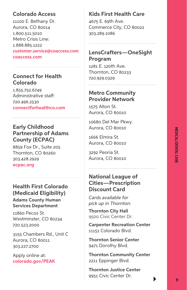## **MEDICAL/DENTAL CARE** *AEDICAL/DENTAL CARI*

#### **Colorado Access**

11100 E. Bethany Dr. Aurora, CO 80014 1.800.511.5010 Metro Crisis Line: 1.888.885.1222 **[customer.service@coaccess.com](mailto:customer.service%40coaccess.com?subject=) [coaccess.com](http://coaccess.com)**

#### **Connect for Health Colorado**

1.855.752.6749 Administrative staff: 720.496.2530 **[connectforhealthco.com](http://connectforhealthco.com)**

#### **Early Childhood Partnership of Adams County (ECPAC)**

8859 Fox Dr., Suite 205 Thornton, CO 80260 303.428.2929 **[ecpac.org](https://www.ecpac.org/)** 

#### **Health First Colorado (Medicaid Eligibility)**

**Adams County Human Services Department**

11860 Pecos St. Westminster, CO 80234 720.523.2000

3155 Chambers Rd., Unit C Aurora, CO 80011 303.227.2700

Apply online at: **[colorado.gov/PEAK](https://coloradopeak.secure.force.com/)**

#### **Kids First Health Care**

4675 E. 69th Ave. Commerce City, CO 80022 303.289.1086

#### **LensCrafters—OneSight Program**

1281 E. 120th Ave. Thornton, CO 80233 720.929.0329

#### **Metro Community Provider Network**

1575 Alton St. Aurora, CO 80010

10680 Del Mar Pkwy. Aurora, CO 80010

1666 Elmira St. Aurora, CO 80010

3292 Peoria St. Aurora, CO 80010

#### **National League of Cities—Prescription Discount Card**

*Cards available for pick up in Thornton:*

**Thornton City Hall**  9500 Civic Center Dr.

**Carpenter Recreation Center** 11151 Colorado Blvd.

**Thornton Senior Center** 9471 Dorothy Blvd.

**Thornton Community Center** 2211 Eppinger Blvd.

**Thornton Justice Center** 9951 Civic Center Dr.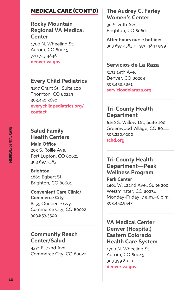#### MEDICAL CARE (CONT'D)

#### **Rocky Mountain Regional VA Medical Center**

1700 N. Wheeling St. Aurora, CO 80045 720.723.4846 **[denver.va.gov](https://www.denver.va.gov/)**

#### **Every Child Pediatrics**

9197 Grant St., Suite 100 Thornton, CO 80229 303.450.3690 **[everychildpediatrics.org/](https://everychildpediatrics.org/contact/) [contact](https://everychildpediatrics.org/contact/)**

#### **Salud Family Health Centers**

**Main Office** 203 S. Rollie Ave. Fort Lupton, CO 80621 303.697.2583

**Brighton** 1860 Egbert St. Brighton, CO 80601

**Convenient Care Clinic/ Commerce City** 6255 Quebec Pkwy. Commerce City, CO 80022 303.853.3500

#### **Community Reach Center/Salud**

4371 E. 72nd Ave. Commerce City, CO 80022

#### **The Audrey C. Farley Women's Center**

30 S. 20th Ave. Brighton, CO 80601

**After hours nurse hotline:** 303.697.2583 or 970.484.0999

#### **Servicios de La Raza**

3131 14th Ave. Denver, CO 80204 303.458.5851 **[serviciosdelaraza.org](https://serviciosdelaraza.org/services-2/)**

#### **Tri-County Health Department**

6162 S. Willow Dr., Suite 100 Greenwood Village, CO 80111 303.220.9200 **[tchd.org](http://tchd.org/)**

#### **Tri-County Health Department—Peak Wellness Program**

**Park Center** 1401 W. 122nd Ave., Suite 200 Westminster, CO 80234 Monday-Friday, 7 a.m.–6 p.m. 303.452.9547

#### **VA Medical Center Denver (Hospital) Eastern Colorado Health Care System**

1700 N. Wheeling St. Aurora, CO 80045 303.399.8020 **[denver.va.gov](https://www.denver.va.gov/)**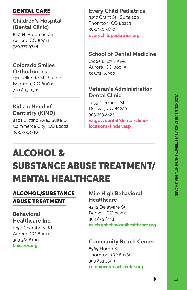#### DENTAL CARE

#### **Children's Hospital (Dental Clinic)**

860 N. Potomac Cir. Aurora, CO 80011 720.777.6788

#### **Colorado Smiles Orthodontics**

191 Telluride St., Suite 1 Brighton, CO 80601 720.805.0501

#### **Kids in Need of Dentistry (KIND)**

4201 E. 72nd Ave., Suite D Commerce City, CO 80022 303.733.3710

#### **Every Child Pediatrics**

9197 Grant St., Suite 100 Thornton, CO 80229 303.450.3690 **[everychildpediatrics.org](https://everychildpediatrics.org/)**

#### **School of Dental Medicine**

13065 E. 17th Ave. Aurora, CO 80045 303.724.6900

#### **Veteran's Administration Dental Clinic**

1055 Clermont St. Denver, CO 80220 303.393.2823 **[va.gov/dental/dental-clinic](http://va.gov/dental/dental-clinic-locations-finder.asp)[locations-finder.asp](http://va.gov/dental/dental-clinic-locations-finder.asp)**

## ALCOHOL & SUBSTANCE ABUSE TREATMENT/ MENTAL HEALTHCARE

#### ALCOHOL/SUBSTANCE ABUSE TREATMENT

#### **Behavioral Healthcare Inc.**

1290 Chambers Rd. Aurora, CO 80011 303.361.8100 **[bhicares.org](https://www.bhicares.org/)**

#### **Mile High Behavioral Healthcare**

4242 Delaware St. Denver, CO 80216 303.825.8113 **[milehighbehavioralhealthcare.org](http://www.milehighbehavioralhealthcare.org/)**

#### **Community Reach Center**

8989 Huron St. Thornton, CO 80260 303.853.3500 **[communityreachcenter.org](http://www.communityreachcenter.org/)**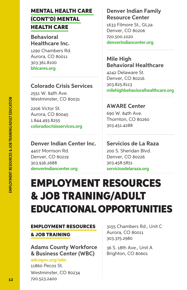#### MENTAL HEALTH CARE (CONT'D) MENTAL HEALTH CARE

**Behavioral Healthcare Inc.**

1290 Chambers Rd. Aurora, CO 80011 303.361.8100 **[bhicares.org](https://www.bhicares.org/)**

#### **Colorado Crisis Services**

2551 W. 84th Ave. Westminster, CO 80031

2206 Victor St. Aurora, CO 80045 1.844.493.8255 **[coloradocrisisservices.org](https://coloradocrisisservices.org/)**

#### **Denver Indian Center Inc.**

4407 Morrison Rd. Denver, CO 80219 303.936.2688 **[denverindiancenter.org](http://www.denverindiancenter.org/our-programs)**

#### **Denver Indian Family Resource Center**

1633 Filmore St., GL2a Denver, CO 80206 720.500.1020 **[denverindiancenter.org](https://www.denverindiancenter.org/our-programs)**

#### **Mile High Behavioral Healthcare**

4242 Delaware St. Denver, CO 80216 303.825.8113 **[milehighbehavioralhealthcare.org](http://www.milehighbehavioralhealthcare.org/)**

#### **AWARE Center**

690 W. 84th Ave. Thornton, CO 80260 303.451.4288

#### **Servicios de La Raza**

200 S. Sheridan Blvd. Denver, CO 80226 303.458.5851 **[serviciosdelaraza.org](https://serviciosdelaraza.org/services-2/)**

## EMPLOYMENT RESOURCES & JOB TRAINING/ADULT EDUCATIONAL OPPORTUNITIES

#### EMPLOYMENT RESOURCES

#### & JOB TRAINING

**Adams County Workforce & Business Center (WBC)**

**[adcogov.org/wbc](https://www.adcogov.org/WBC)** 11860 Pecos St. Westminster, CO 80234 720.523.2400

3155 Chambers Rd., Unit C Aurora, CO 80011 303.375.2980

36 S. 18th Ave., Unit A Brighton, CO 80601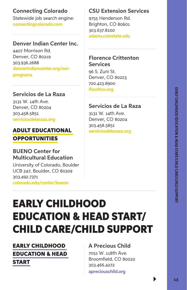#### **Connecting Colorado**

Statewide job search engine: **[connectingcolorado.com](https://www.connectingcolorado.com/)**

#### **Denver Indian Center Inc.**

4407 Morrison Rd. Denver, CO 80219 303.936.2688 **[denverindiancenter.org/our](https://www.denverindiancenter.org/our-programs)[programs](https://www.denverindiancenter.org/our-programs)**

#### **Servicios de La Raza**

3131 W. 14th Ave. Denver, CO 80204 303.458.5851 **[serviciosdelaraza.org](https://serviciosdelaraza.org/services-2)**

#### ADULT EDUCATIONAL **OPPORTUNITIES**

#### **BUENO Center for Multicultural Education**

University of Colorado, Boulder UCB 247, Boulder, CO 80309 303.492.7371 **[colorado.edu/center/bueno](https://www.colorado.edu/center/bueno/)**

#### **CSU Extension Services**

9755 Henderson Rd. Brighton, CO 80601 303.637.8100 **[adams.colostate.edu](http://adams.colostate.edu/)**

#### **Florence Crittenton Services**

96 S. Zuni St. Denver, CO 80223 720.423.8900 **[flocritco.org](https://flocritco.org/)**

#### **Servicios de La Raza**

3131 W. 14th Ave. Denver, CO 80204 303.458.5851 **[serviciosdelaraza.org](https://serviciosdelaraza.org/services-2/)**

## EARLY CHILDHOOD EDUCATION & HEAD START/ CHILD CARE/CHILD SUPPORT

#### EARLY CHILDHOOD EDUCATION & HEAD START

#### **A Precious Child**

7051 W. 118th Ave. Broomfield, CO 80020 303.466.4272 **[apreciouschild.org](https://apreciouschild.org/what-we-do/overview/)**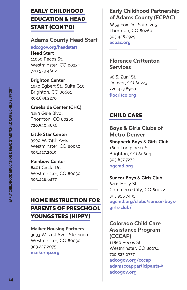#### EARLY CHILDHOOD EDUCATION & HEAD START (CONT'D)

#### **Adams County Head Start**

**[adcogov.org/headstart](https://serviciosdelaraza.org/services-2/)**

**Head Start**  11860 Pecos St. Westminster, CO 80234 720.523.4602

#### **Brighton Center**

1850 Egbert St., Suite G10 Brighton, CO 80601 303.659.2270

#### **Creekside Center (CHC)**

9189 Gale Blvd. Thornton, CO 80260 720.540.4836

**Little Star Center** 3990 W. 74th Ave. Westminster, CO 80030 303.427.2019

**Rainbow Center** 8401 Circle Dr. Westminster, CO 80030 303.428.6477

#### HOME INSTRUCTION FOR PARENTS OF PRESCHOOL YOUNGSTERS (HIPPY)

**Maiker Housing Partners** 3033 W. 71st Ave., Ste. 1000 Westminster, CO 80030 303.227.2075 **[maikerhp.org](https://maikerhp.org/)**

#### **Early Childhood Partnership of Adams County (ECPAC)**

8859 Fox Dr., Suite 205 Thornton, CO 80260 303.428.2929 **[ecpac.org](https://www.ecpac.org/)**

#### **Florence Crittenton Services**

96 S. Zuni St. Denver, CO 80223 720.423.8900 **[flocritco.org](https://flocritco.org/)**

#### CHILD CARE

#### **Boys & Girls Clubs of Metro Denver**

**Shopneck Boys & Girls Club**  1800 Longspeak St. Brighton, CO 80604 303.637.7272 **[bgcmd.org](https://www.bgcmd.org/)** 

#### **Suncor Boys & Girls Club**

6201 Holly St. Commerce City, CO 80022 303.955.7405 **[bgcmd.org/clubs/suncor-boys](http://www.bgcmd.org/clubs/suncor-boys-girls-club/)[girls-club/](http://www.bgcmd.org/clubs/suncor-boys-girls-club/)**

#### **Colorado Child Care Assistance Program (CCCAP)** 11860 Pecos St. Westminster, CO 80234 720.523.2337 **[adcogov.org/cccap](https://www.adcogov.org/cccap) [adamsccapparticipants@](mailto:adamsccapparticipants%40adcogov.org?subject=) [adcogov.org](mailto:adamsccapparticipants%40adcogov.org?subject=)**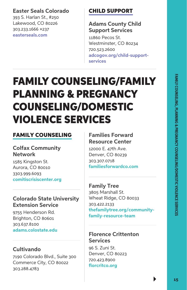#### **Easter Seals Colorado**

393 S. Harlan St., #250 Lakewood, CO 80226 303.233.1666 ×237 **[easterseals.com](https://www.easterseals.com/)**

#### CHILD SUPPORT

#### **Adams County Child Support Services**

11860 Pecos St. Westminster, CO 80234 720.523.2600 **[adcogov.org/child-support](http://www.adcogov.org/child-support-services)[services](http://www.adcogov.org/child-support-services)**

## FAMILY COUNSELING/FAMILY PLANNING & PREGNANCY COUNSELING/DOMESTIC VIOLENCE SERVICES

#### FAMILY COUNSELING

**Colfax Community Network**

1585 Kingston St. Aurora, CO 80010 3303.999.6093 **[comitiscrisiscenter.org](https://comitiscrisiscenter.org/)**

#### **Colorado State University Extension Service**

9755 Henderson Rd. Brighton, CO 80601 303.637.8100 **[adams.colostate.edu](http://adams.colostate.edu/)**

#### **Cultivando**

7190 Colorado Blvd., Suite 300 Commerce City, CO 80022 303.288.4783

#### **Families Forward Resource Center**

12000 E. 47th Ave. Denver, CO 80239 303.307.0718 **[familiesforwardco.com](https://familiesforwardco.com/)**

**Family Tree** 3805 Marshall St. Wheat Ridge, CO 80033 303.422.2133 **[thefamilytree.org/community](http://www.thefamilytree.org/community-family-resource-team)[family-resource-team](http://www.thefamilytree.org/community-family-resource-team)**

#### **Florence Crittenton Services**

96 S. Zuni St. Denver, CO 80223 720.423.8900 **[florcritco.org](https://flocritco.org)**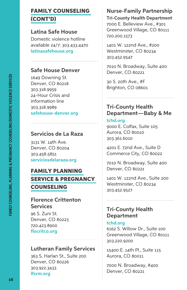#### FAMILY COUNSELING (CONT'D)

#### **Latina Safe House**

Domestic violence hotline available 24/7: 303.433.4470 **[latinasafehouse.org](https://latinasafehouse.org/)**

#### **Safe House Denver**

1649 Downing St. Denver, CO 80218 303.318.9959 24-Hour Crisis and information line 303.318.9989 **[safehouse-denver.org](https://safehouse-denver.org/about/contact.html)**

#### **Servicios de La Raza**

3131 W. 14th Ave. Denver, CO 80204 303.458.5851 **[serviciosdelaraza.org](https://serviciosdelaraza.org/services-2/)**

#### FAMILY PLANNING SERVICE & PREGNANCY COUNSELING

#### **Florence Crittenton Services**

96 S. Zuni St. Denver, CO 80223 720.423.8900 **[flocritco.org](https://flocritco.org/)**

#### **Lutheran Family Services**

363 S. Harlan St., Suite 200 Denver, CO 80226 303.922.3433 **[lfsrm.org](https://www.lfsrm.org/)**

#### **Nurse-Family Partnership**

**Tri-County Health Department** 7000 E. Belleview Ave., #301 Greenwood Village, CO 80111 720.200.1573

1401 W. 122nd Ave., #200 Westminster, CO 80234 303.452.9547

7010 N. Broadway, Suite 400 Denver, CO 80221

30 S. 20th Ave., #F Brighton, CO 08601

#### **Tri-County Health Department—Baby & Me**

#### **[tchd.org](http://tchd.org/)**

9000 E. Colfax, Suite 105 Aurora, CO 80010 303.361.6010

4201 E. 72nd Ave., Suite D Commerce City, CO 80022

7010 N. Broadway, Suite 400 Denver, CO 80221

1401 W. 122nd Ave., Suite 200 Westminster, CO 80234 303.452.9527

#### **Tri-County Health Department**

#### **[tchd.org](http://tchd.org/ )**

6162 S. Willow Dr., Suite 100 Greenwood Village, CO 80111 303.220.9200

15400 E. 14th Pl., Suite 115 Aurora, CO 80011

7000 N. Broadway, #400 Denver, CO 80221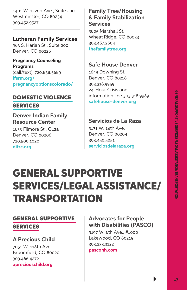1401 W. 122nd Ave., Suite 200 Westminster, CO 80234 303.452.9527

#### **Lutheran Family Services**

363 S. Harlan St., Suite 200 Denver, CO 80226

**Pregnancy Counseling Programs** (call/text): 720.838.5689 **[lfsrm.org/](https://www.lfsrm.org/pregnancyoptionscolorado/) [pregnancyoptionscolorado/](https://www.lfsrm.org/pregnancyoptionscolorado/)**

#### DOMESTIC VIOLENCE SERVICES

**Denver Indian Family Resource Center**

1633 Filmore St., GL2a Denver, CO 80206 720.500.1020 **[difrc.org](https://difrc.org/)**

#### **Family Tree/Housing & Family Stabilization Services**

3805 Marshall St. Wheat Ridge, CO 80033 303.467.2604 **[thefamilytree.org](https://www.thefamilytree.org/)**

#### **Safe House Denver**

1649 Downing St. Denver, CO 80218 303.318.9959 24-Hour Crisis and information line 303.318.9989 **[safehouse-denver.org](https://safehouse-denver.org/about/contact.html)**

#### **Servicios de La Raza**

3131 W. 14th Ave. Denver, CO 80204 303.458.5851 **[serviciosdelaraza.org](https://serviciosdelaraza.org/services-2/)**

## GENERAL SUPPORTIVE SERVICES/LEGAL ASSISTANCE/ TRANSPORTATION

#### GENERAL SUPPORTIVE

#### SERVICES

#### **A Precious Child**

7051 W. 118th Ave. Broomfield, CO 80020 303.466.4272 **[apreciouschild.org](https://apreciouschild.org/)**

#### **Advocates for People with Disabilities (PASCO)**

9197 W. 6th Ave., #1000 Lakewood, CO 80215 303.233.3122 **[pascohh.com](https://pascohh.com/services/)**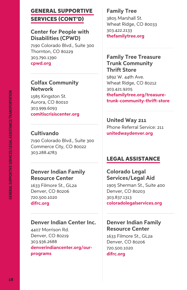#### GENERAL SUPPORTIVE SERVICES (CONT'D)

#### **Center for People with Disabilities (CPWD)**

7190 Colorado Blvd., Suite 300 Thornton, CO 80229 303.790.1390 **[cpwd.org](https://cpwd.org/)**

#### **Colfax Community Network**

1585 Kingston St. Aurora, CO 80010 303.999.6093 **[comitiscrisiscenter.org](https://comitiscrisiscenter.org/)**

#### **Cultivando**

7190 Colorado Blvd., Suite 300 Commerce City, CO 80022 303.288.4783

#### **Denver Indian Family Resource Center**

1633 Filmore St., GL2a Denver, CO 80206 720.500.1020 **[difrc.org](https://difrc.org/)**

#### **Denver Indian Center Inc.**

4407 Morrison Rd. Denver, CO 80219 303.936.2688 **[denverindiancenter.org/our](https://www.denverindiancenter.org/our-programs)[programs](https://www.denverindiancenter.org/our-programs)**

#### **Family Tree**

3805 Marshall St. Wheat Ridge, CO 80033 303.422.2133 **[thefamilytree.org](http://thefamilytree.org)**

#### **Family Tree Treasure Trunk Community Thrift Store** 5892 W. 44th Ave. Wheat Ridge, CO 80212 303.421.9205 **[thefamilytree.org/treasure](https://www.thefamilytree.org/treasure-trunk-community-thrift-store)[trunk-community-thrift-store](https://www.thefamilytree.org/treasure-trunk-community-thrift-store)**

**United Way 211** Phone Referral Service: 211 **[unitedwaydenver.org](https://unitedwaydenver.org/)**

#### LEGAL ASSISTANCE

#### **Colorado Legal Services/Legal Aid**

1905 Sherman St., Suite 400 Denver, CO 80203 303.837.1313 **[coloradolegalservices.org](https://www.coloradolegalservices.org/)**

#### **Denver Indian Family Resource Center**

1633 Filmore St., GL2a Denver, CO 80206 720.500.1020 **[difrc.org](https://difrc.org/)**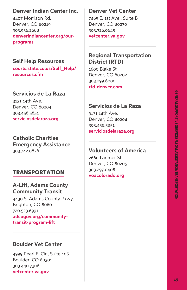#### **Denver Indian Center Inc.**

4407 Morrison Rd. Denver, CO 80219 303.936.2688 **[denverindiancenter.org/our](https://www.denverindiancenter.org/our-programs)[programs](https://www.denverindiancenter.org/our-programs)**

#### **Self Help Resources**

**[courts.state.co.us/Self\\_Help/](http://www.courts.state.co.us/Self_Help/resources.cfm) [resources.cfm](http://www.courts.state.co.us/Self_Help/resources.cfm)**

#### **Servicios de La Raza**

3131 14th Ave. Denver, CO 80204 303.458.5851 **[serviciosdelaraza.org](https://serviciosdelaraza.org/services-2/)**

**Catholic Charities Emergency Assistance** 303.742.0828

#### TRANSPORTATION

#### **A-Lift, Adams County Community Transit**

4430 S. Adams County Pkwy. Brighton, CO 80601 720.523.6991 **[adcogov.org/community](https://www.adcogov.org/community-transit-program-lift)[transit-program-lift](https://www.adcogov.org/community-transit-program-lift)**

#### **Boulder Vet Center**

4999 Pearl E. Cir., Suite 106 Boulder, CO 80301 303.440.7306 **[vetcenter.va.gov](https://www.vetcenter.va.gov/)**

#### **Denver Vet Center**

7465 E. 1st Ave., Suite B Denver, CO 80230 303.326.0645 **[vetcenter.va.gov](https://www.vetcenter.va.gov/)**

#### **Regional Transportation District (RTD)**

1600 Blake St. Denver, CO 80202 303.299.6000 **[rtd-denver.com](https://www.rtd-denver.com/)**

#### **Servicios de La Raza**

3131 14th Ave. Denver, CO 80204 303.458.5851 **[serviciosdelaraza.org](https://serviciosdelaraza.org/services-2/)**

#### **Volunteers of America**

2660 Larimer St. Denver, CO 80205 303.297.0408 **[voacolorado.org](https://www.voacolorado.org/)**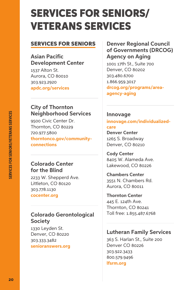## SERVICES FOR SENIORS/ VETERANS SERVICES

#### SERVICES FOR SENIORS

#### **Asian Pacific Development Center**

1537 Alton St. Aurora, CO 80010 303.923.2920 **[apdc.org/services](https://www.apdc.org/services)**

#### **City of Thornton Neighborhood Services**

9500 Civic Center Dr. Thornton, CO 80229 720.977.5800 **[thorntonco.gov/community](https://www.thorntonco.gov/community-connections/Pages/default.aspx)[connections](https://www.thorntonco.gov/community-connections/Pages/default.aspx)**

#### **Colorado Center for the Blind**

2233 W. Shepperd Ave. Littleton, CO 80120 303.778.1130 **[cocenter.org](https://cocenter.org/)**

#### **Colorado Gerontological Society**

1330 Leyden St. Denver, CO 80220 303.333.3482 **[senioranswers.org](https://www.senioranswers.org/)**

**Denver Regional Council of Governments (DRCOG) Agency on Aging**

1001 17th St., Suite 700 Denver, CO 80202 303.480.6700 1.866.959.3017 **[drcog.org/programs/area](https://drcog.org/programs/area-agency-aging)[agency-aging](https://drcog.org/programs/area-agency-aging)**

#### **Innovage**

**[innovage.com/individualized](https://www.innovage.com/individualized-care)[care](https://www.innovage.com/individualized-care)**

#### **Denver Center**

1265 S. Broadway Denver, CO 80210

**Cody Center** 8405 W. Alameda Ave. Lakewood, CO 80226

**Chambers Center** 3551 N. Chambers Rd. Aurora, CO 80011

**Thornton Center** 445 E. 124th Ave. Thornton, CO 80241 Toll free: 1.855.487.6768

#### **Lutheran Family Services**

363 S. Harlan St., Suite 200 Denver CO 80226 303.922.3433 800.579.9496 **[lfsrm.org](https://www.lfsrm.org/)**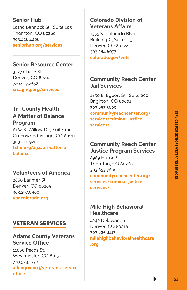#### **Senior Hub**

10190 Bannock St., Suite 105 Thornton, CO 80260 303.426.4408 **[seniorhub.org/services](https://seniorhub.org/services/)**

#### **Senior Resource Center**

3227 Chase St. Denver, CO 80212 720.927.2658 **[srcaging.org/services](https://www.srcaging.org/services/)**

#### **Tri-County Health— A Matter of Balance Program**

6162 S. Willow Dr., Suite 100 Greenwood Village, CO 80111 303.220.9200 **[tchd.org/494/a-matter-of](https://www.tchd.org/494/A-Matter-of-Balance)[balance](https://www.tchd.org/494/A-Matter-of-Balance)**

#### **Volunteers of America**

2660 Larimer St. Denver, CO 80205 303.297.0408 **[voacolorado.org](https://www.voacolorado.org/)**

#### VETERAN SERVICES

#### **Adams County Veterans Service Office**

11860 Pecos St. Westminster, CO 80234 720.523.2770 **[adcogov.org/veterans-service](https://www.adcogov.org/veterans-service-office)[office](https://www.adcogov.org/veterans-service-office)**

#### **Colorado Division of Veterans Affairs**

1355 S. Colorado Blvd. Building C, Suite 113 Denver, CO 80222 303.284.6077 **[colorado.gov/vets](https://www.colorado.gov/vets)**

#### **Community Reach Center Jail Services**

1850 E. Egbert St., Suite 200 Brighton, CO 80601 303.853.3600 **[communityreachcenter.org/](http://www.communityreachcenter.org/services/adult-and-senior-services/criminal-justice-services/) [services/criminal-justice](http://www.communityreachcenter.org/services/adult-and-senior-services/criminal-justice-services/)[services/](http://www.communityreachcenter.org/services/adult-and-senior-services/criminal-justice-services/)**

#### **Community Reach Center Justice Program Services**

8989 Huron St. Thornton, CO 80260 303.853.3600 **[communityreachcenter.org/](http://www.communityreachcenter.org/services/adult-and-senior-services/criminal-justice-services/) [services/criminal-justice](http://www.communityreachcenter.org/services/adult-and-senior-services/criminal-justice-services/)[services/](http://www.communityreachcenter.org/services/adult-and-senior-services/criminal-justice-services/)**

#### **Mile High Behavioral Healthcare**

4242 Delaware St. Denver, CO 80216 303.825.8113 **[milehighbehavioralhealthcare](https://www.milehighbehavioralhealthcare.org/who-we-are)**

**[.org](https://www.milehighbehavioralhealthcare.org/who-we-are)**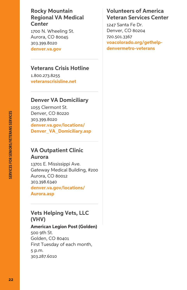**Rocky Mountain Regional VA Medical Center**

1700 N. Wheeling St. Aurora, CO 80045 303.399.8020 **[denver.va.gov](https://www.denver.va.gov/)**

#### **Veterans Crisis Hotline**

1.800.273.8255 **[veteranscrisisline.net](http://veteranscrisisline.net/)**

#### **Denver VA Domiciliary**

1055 Clermont St. Denver, CO 80220 303.399.8020 **[denver.va.gov/locations/](https://www.denver.va.gov/locations/Denver_VA_Domiciliary.asp) [Denver\\_VA\\_Domiciliary.asp](https://www.denver.va.gov/locations/Denver_VA_Domiciliary.asp)**

#### **VA Outpatient Clinic Aurora**

13701 E. Mississippi Ave. Gateway Medical Building, #200 Aurora, CO 80012 303.398.6340 **[denver.va.gov/locations/](https://www.denver.va.gov/locations/Aurora.asp) [Aurora.asp](https://www.denver.va.gov/locations/Aurora.asp)**

#### **Vets Helping Vets, LLC (VHV)**

**American Legion Post (Golden)** 500 9th St. Golden, CO 80401 First Tuesday of each month, 5 p.m. 303.287.6010

#### **Volunteers of America Veteran Services Center**

1247 Santa Fe Dr. Denver, CO 80204 720.501.3367 **[voacolorado.org/gethelp](https://www.voacolorado.org/gethelp-denvermetro-veterans)[denvermetro-veterans](https://www.voacolorado.org/gethelp-denvermetro-veterans)**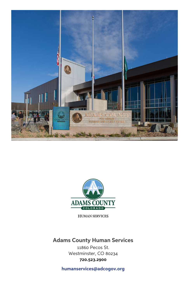



**HUMAN SERVICES** 

#### **Adams County Human Services**

11860 Pecos St. Westminster, CO 80234 **720.523.2900**

**humanservices@adcogov.org**